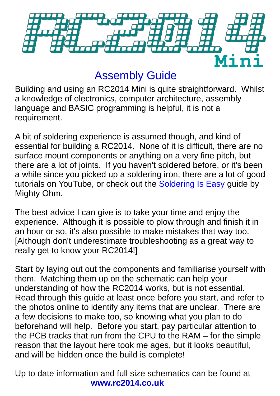

## Assembly Guide

Building and using an RC2014 Mini is quite straightforward. Whilst a knowledge of electronics, computer architecture, assembly language and BASIC programming is helpful, it is not a requirement.

A bit of soldering experience is assumed though, and kind of essential for building a RC2014. None of it is difficult, there are no surface mount components or anything on a very fine pitch, but there are a lot of joints. If you haven't soldered before, or it's been a while since you picked up a soldering iron, there are a lot of good tutorials on YouTube, or check out the [Soldering Is Easy](https://mightyohm.com/files/soldercomic/FullSolderComic_EN.pdf) guide by Mighty Ohm.

The best advice I can give is to take your time and enjoy the experience. Although it is possible to plow through and finish it in an hour or so, it's also possible to make mistakes that way too. [Although don't underestimate troubleshooting as a great way to really get to know your RC2014!]

Start by laying out out the components and familiarise yourself with them. Matching them up on the schematic can help your understanding of how the RC2014 works, but is not essential. Read through this guide at least once before you start, and refer to the photos online to identify any items that are unclear. There are a few decisions to make too, so knowing what you plan to do beforehand will help. Before you start, pay particular attention to the PCB tracks that run from the CPU to the RAM – for the simple reason that the layout here took me ages, but it looks beautiful, and will be hidden once the build is complete!

Up to date information and full size schematics can be found at **www.rc2014.co.uk**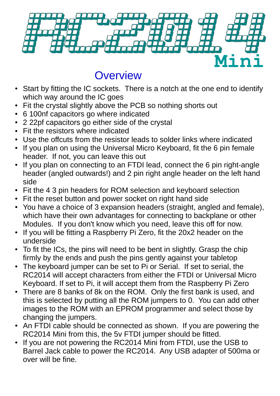

### **Overview**

- Start by fitting the IC sockets. There is a notch at the one end to identify which way around the IC goes
- Fit the crystal slightly above the PCB so nothing shorts out
- 6 100nf capacitors go where indicated
- 2 22pf capacitors go either side of the crystal
- Fit the resistors where indicated
- Use the offcuts from the resistor leads to solder links where indicated
- If you plan on using the Universal Micro Keyboard, fit the 6 pin female header. If not, you can leave this out
- If you plan on connecting to an FTDI lead, connect the 6 pin right-angle header (angled outwards!) and 2 pin right angle header on the left hand side
- Fit the 4 3 pin headers for ROM selection and keyboard selection
- Fit the reset button and power socket on right hand side
- You have a choice of 3 expansion headers (straight, angled and female), which have their own advantages for connecting to backplane or other Modules. If you don't know which you need, leave this off for now.
- If you will be fitting a Raspberry Pi Zero, fit the 20x2 header on the underside
- To fit the ICs, the pins will need to be bent in slightly. Grasp the chip firmly by the ends and push the pins gently against your tabletop
- The keyboard jumper can be set to Pi or Serial. If set to serial, the RC2014 will accept characters from either the FTDI or Universal Micro Keyboard. If set to Pi, it will accept them from the Raspberry Pi Zero
- There are 8 banks of 8k on the ROM. Only the first bank is used, and this is selected by putting all the ROM jumpers to 0. You can add other images to the ROM with an EPROM programmer and select those by changing the jumpers.
- An FTDI cable should be connected as shown. If you are powering the RC2014 Mini from this, the 5v FTDI jumper should be fitted.
- If you are not powering the RC2014 Mini from FTDI, use the USB to Barrel Jack cable to power the RC2014. Any USB adapter of 500ma or over will be fine.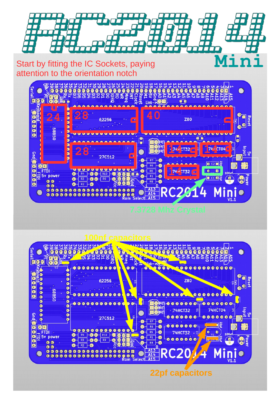

#### Start by fitting the IC Sockets, paying attention to the orientation notch



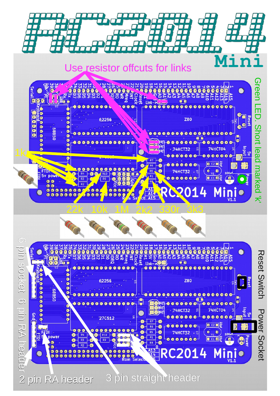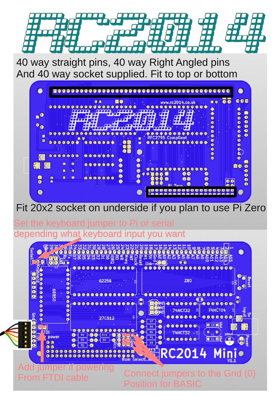

**Mini** 40 way straight pins, 40 way Right Angled pins And 40 way socket supplied. Fit to top or bottom

|             | $0 0 0 0 0 0$       |           | <b>QQQ</b><br>$\bullet$ | <b>G &amp;</b><br>$\bullet$<br>◒ | <b>EO</b>                 |                  |                   | www.rc2014.co.uk    | 0000                                           | <br>$\bullet \bullet \blacksquare$ |
|-------------|---------------------|-----------|-------------------------|----------------------------------|---------------------------|------------------|-------------------|---------------------|------------------------------------------------|------------------------------------|
|             |                     |           |                         |                                  |                           |                  | m<br>77 T         |                     |                                                | $\bullet$<br>盏<br>$\bullet$        |
| O           |                     |           |                         |                                  | er je s                   |                  |                   |                     | $\bullet$                                      | $\bullet$<br>$\bullet$             |
| OO          |                     |           |                         |                                  |                           |                  |                   |                     | 6                                              |                                    |
|             |                     |           |                         |                                  |                           |                  |                   |                     | ⋒<br>◉                                         |                                    |
| ×           |                     |           |                         |                                  |                           | e                | RFC2795 Compliant | $\bullet$           | $\bullet \bullet \bullet \bullet$<br>$\bullet$ |                                    |
| ø           | 0000006             |           |                         |                                  |                           | ×                |                   | $00000000000000$    | $\bullet$<br>$\bullet$                         |                                    |
|             |                     |           |                         |                                  |                           |                  |                   |                     |                                                |                                    |
|             | 0000000             |           |                         | $0 0 0 0 0 0 0$                  |                           |                  |                   |                     | 000                                            | $\bullet$                          |
|             | Ð                   | <b>Q</b>  |                         | $0000000$                        | O)                        |                  |                   |                     |                                                | 舂                                  |
| $\bigoplus$ | $\blacksquare$      | $\bullet$ |                         |                                  |                           | $\bullet$        |                   | $0 0 0 0 0 0 0 0 0$ |                                                | <b>DO</b><br>$\bullet$             |
|             |                     |           |                         |                                  | $\circ$<br>$\circledcirc$ | $\bullet$<br>€   | ▣                 | $\bullet$           | $\circledcirc$                                 | $\bullet$                          |
| 香           | $\blacksquare$<br>R | $\bullet$ |                         | 0000000                          | $\bullet$                 | $\ddot{\bullet}$ |                   | 00                  | $\bullet$                                      | 88<br>00                           |

#### Fit 20x2 socket on underside if you plan to use Pi Zero

Set the keyboard jumper to Pi or serial depending what keyboard input you want

| eria                                                               | ននន<br><b>SESS2</b><br><b>FEED</b><br>흦<br>G                                                                  | <b>Rese</b><br>សជ<br>Ξ<br>б<br>Link-                                                           | ഗ ന<br>$J$ or $J$ $\rightarrow$ $C$<br>795786<br>등<br>보검검<br>66<br>66<br>$\bullet$                                                                                                                                                                                                                                                                                                                                                                                                                                                                   | 믒<br>$\bullet$                                              |
|--------------------------------------------------------------------|---------------------------------------------------------------------------------------------------------------|------------------------------------------------------------------------------------------------|------------------------------------------------------------------------------------------------------------------------------------------------------------------------------------------------------------------------------------------------------------------------------------------------------------------------------------------------------------------------------------------------------------------------------------------------------------------------------------------------------------------------------------------------------|-------------------------------------------------------------|
| 88<br>05889                                                        | 62256                                                                                                         | -0                                                                                             | <b>Z80</b>                                                                                                                                                                                                                                                                                                                                                                                                                                                                                                                                           | ese                                                         |
| G<br>O<br>O<br>Gnd<br>Q<br>$\overline{c}$<br>88<br>power<br>٠<br>G | <br><b>27C512</b><br>$\bullet$<br>O<br>R <sub>4</sub><br><b>R10</b><br>R <sub>3</sub><br>R9<br>C <sub>1</sub> | H<br>$\overline{\mathbf{g}}$<br>R7<br>R <sub>6</sub><br>R <sub>5</sub><br>R1<br>R <sub>8</sub> | $\begin{array}{ccccccccccccccccc}\n\bullet & \bullet & \bullet & \bullet & \bullet & \bullet & \bullet & \bullet & \bullet\end{array}$<br>$\bullet \bullet \bullet \bullet \bullet \bullet \bullet$<br><b>74HCT04</b><br>$-74$ HCT32<br>밈<br>000000<br>000<br>$\bullet$<br>$\sqrt{2}$ C <sub>2</sub><br>$\bullet\bullet\bullet\bullet\bullet\bullet\text{-}$<br>ø<br>$\bullet$<br><b>74HCT32</b><br>$\cdot$ 5<br>Y1<br>$C1$ D <sub>2</sub><br>$\begin{array}{c c} \hline \textbf{0} & \textbf{0} & \textbf{0} & \textbf{0} & \textbf{0} \end{array}$ | $\frac{1}{2}$<br>ling<br>Va<br>딞<br><b>100uf</b><br>᠊ᠣ<br>Ø |
| ٠<br>$\bullet$<br>$\bullet$<br>$\bullet$<br>O<br>O                 | $\bullet$<br>$\bullet$<br>$\bullet$<br>$\bullet$<br>O<br>●<br>$\bullet$<br><b>O</b> O                         | $\bullet$ $\bullet$<br>Select A                                                                | RC2014 Minio                                                                                                                                                                                                                                                                                                                                                                                                                                                                                                                                         |                                                             |
|                                                                    |                                                                                                               | 'osition for BASIC                                                                             | nect jumpers to the Gnd (0)                                                                                                                                                                                                                                                                                                                                                                                                                                                                                                                          |                                                             |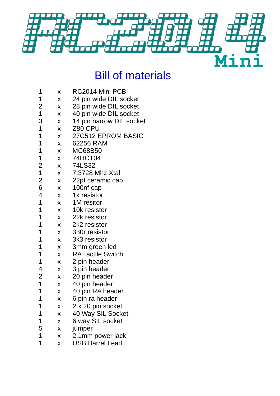

# Bill of materials

| 1              | X | RC2014 Mini PCB          |
|----------------|---|--------------------------|
| 1              | Χ | 24 pin wide DIL socket   |
| $\overline{c}$ | X | 28 pin wide DIL socket   |
| $\mathbf{1}$   | Χ | 40 pin wide DIL socket   |
| 3              | X | 14 pin narrow DIL socket |
| $\mathbf{1}$   | X | Z80 CPU                  |
| $\mathbf 1$    | X | 27C512 EPROM BASIC       |
| $\mathbf 1$    | X | 62256 RAM                |
| $\mathbf 1$    | X | <b>MC68B50</b>           |
| 1              | Χ | 74HCT04                  |
| $\overline{c}$ | X | 74LS32                   |
| $\mathbf{1}$   | X | 7.3728 Mhz Xtal          |
| $\overline{c}$ | X | 22pf ceramic cap         |
| 6              | X | 100nf cap                |
| 4              | X | 1k resistor              |
| $\mathbf 1$    | X | 1M resitor               |
| $\mathbf 1$    | X | 10k resistor             |
| 1              | X | 22k resistor             |
| $\mathbf 1$    | X | 2k2 resistor             |
| $\mathbf 1$    | X | 330r resistor            |
| $\mathbf 1$    | X | 3k3 resistor             |
| $\mathbf 1$    | X | 3mm green led            |
| $\mathbf 1$    | X | <b>RA Tactile Switch</b> |
| $\mathbf 1$    | X | 2 pin header             |
| 4              | X | 3 pin header             |
| 2              | X | 20 pin header            |
| $\mathbf 1$    | X | 40 pin header            |
| $\overline{1}$ | Χ | 40 pin RA header         |
| $\mathbf 1$    | x | 6 pin ra header          |
| 1              | X | 2 x 20 pin socket        |
| 1              | Χ | 40 Way SIL Socket        |
| $\mathbf 1$    | X | 6 way SIL socket         |
| 5              | Χ | jumper                   |
| $\mathbf 1$    | X | 2.1mm power jack         |
| $\overline{1}$ | X | <b>USB Barrel Lead</b>   |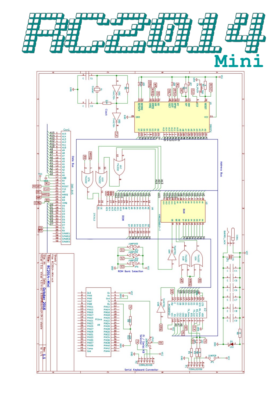